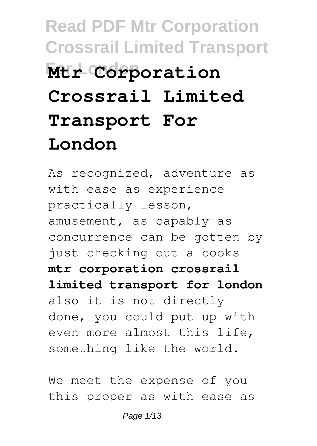# **Read PDF Mtr Corporation Crossrail Limited Transport Mtr** Corporation **Crossrail Limited Transport For London**

As recognized, adventure as with ease as experience practically lesson, amusement, as capably as concurrence can be gotten by just checking out a books **mtr corporation crossrail limited transport for london** also it is not directly done, you could put up with even more almost this life, something like the world.

We meet the expense of you this proper as with ease as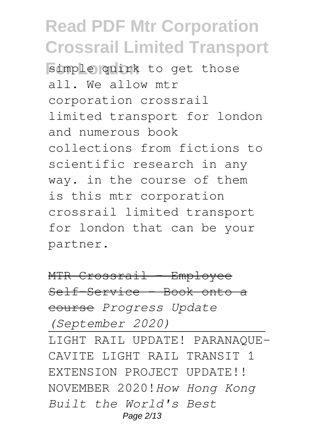**For Simple quirk** to get those all. We allow mtr corporation crossrail limited transport for london and numerous book collections from fictions to scientific research in any way. in the course of them is this mtr corporation crossrail limited transport for london that can be your partner.

MTR Crossrail - Employee Self-Service - Book onto a course *Progress Update (September 2020)*

LIGHT RAIL UPDATE! PARANAQUE-CAVITE LIGHT RAIL TRANSIT 1 EXTENSION PROJECT UPDATE!! NOVEMBER 2020!*How Hong Kong Built the World's Best* Page 2/13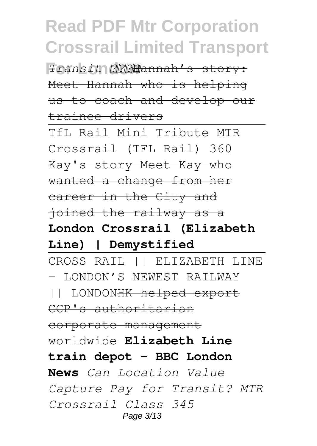**For London** *Transit* Hannah's story: Meet Hannah who is helping us to coach and develop our trainee drivers

TfL Rail Mini Tribute MTR Crossrail (TFL Rail) 360 Kay's story Meet Kay who wanted a change from her career in the City and joined the railway as a

**London Crossrail (Elizabeth Line) | Demystified**

CROSS RAIL || ELIZABETH LINE - LONDON'S NEWEST RAILWAY || LONDONHK helped export CCP's authoritarian corporate management worldwide **Elizabeth Line train depot – BBC London News** *Can Location Value Capture Pay for Transit? MTR Crossrail Class 345* Page 3/13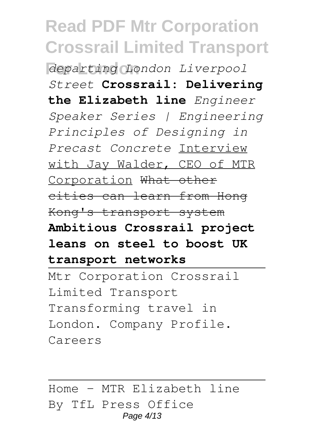**For London** *departing London Liverpool Street* **Crossrail: Delivering the Elizabeth line** *Engineer Speaker Series | Engineering Principles of Designing in Precast Concrete* Interview with Jay Walder, CEO of MTR Corporation What other cities can learn from Hong Kong's transport system **Ambitious Crossrail project leans on steel to boost UK transport networks**

Mtr Corporation Crossrail Limited Transport Transforming travel in London. Company Profile. Careers

Home - MTR Elizabeth line By TfL Press Office Page 4/13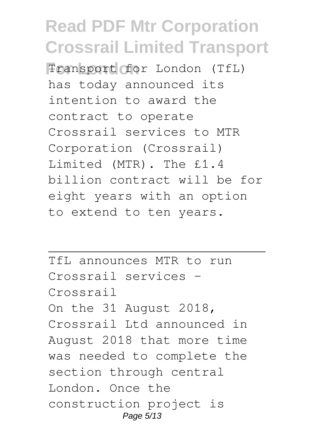**For London** Transport for London (TfL) has today announced its intention to award the contract to operate Crossrail services to MTR Corporation (Crossrail) Limited (MTR). The £1.4 billion contract will be for eight years with an option to extend to ten years.

TfL announces MTR to run Crossrail services - Crossrail On the 31 August 2018, Crossrail Ltd announced in August 2018 that more time was needed to complete the section through central London. Once the construction project is Page 5/13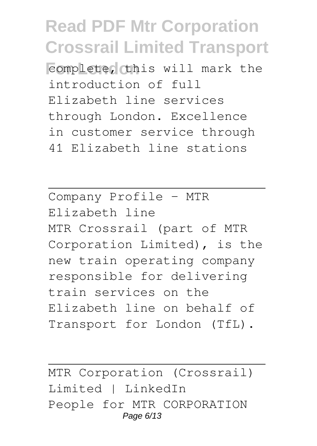**Formulete, this will mark the** introduction of full Elizabeth line services through London. Excellence in customer service through 41 Elizabeth line stations

Company Profile - MTR Elizabeth line MTR Crossrail (part of MTR Corporation Limited), is the new train operating company responsible for delivering train services on the Elizabeth line on behalf of Transport for London (TfL).

MTR Corporation (Crossrail) Limited | LinkedIn People for MTR CORPORATION Page 6/13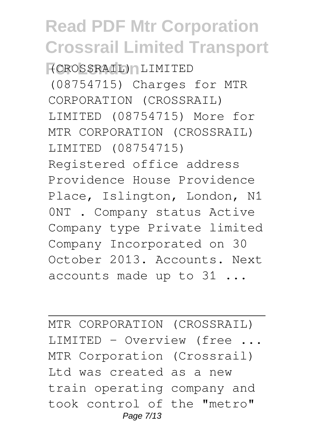**For London** (CROSSRAIL) LIMITED (08754715) Charges for MTR CORPORATION (CROSSRAIL) LIMITED (08754715) More for MTR CORPORATION (CROSSRAIL) LIMITED (08754715) Registered office address Providence House Providence Place, Islington, London, N1 0NT . Company status Active Company type Private limited Company Incorporated on 30 October 2013. Accounts. Next accounts made up to 31 ...

MTR CORPORATION (CROSSRAIL) LIMITED - Overview (free ... MTR Corporation (Crossrail) Ltd was created as a new train operating company and took control of the "metro" Page 7/13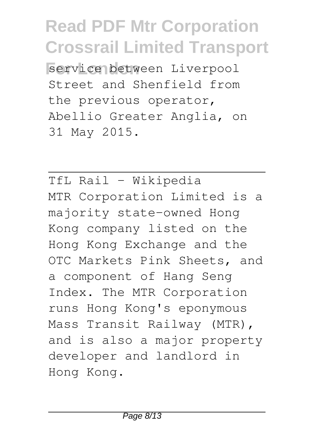**For London** service between Liverpool Street and Shenfield from the previous operator, Abellio Greater Anglia, on 31 May 2015.

TfL Rail - Wikipedia MTR Corporation Limited is a majority state-owned Hong Kong company listed on the Hong Kong Exchange and the OTC Markets Pink Sheets, and a component of Hang Seng Index. The MTR Corporation runs Hong Kong's eponymous Mass Transit Railway (MTR), and is also a major property developer and landlord in Hong Kong.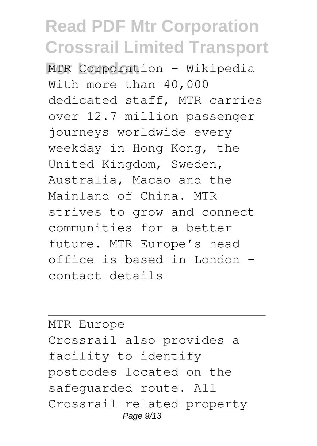**MTR Corporation - Wikipedia** With more than 40,000 dedicated staff, MTR carries over 12.7 million passenger journeys worldwide every weekday in Hong Kong, the United Kingdom, Sweden, Australia, Macao and the Mainland of China. MTR strives to grow and connect communities for a better future. MTR Europe's head office is based in London – contact details

MTR Europe Crossrail also provides a facility to identify postcodes located on the safeguarded route. All Crossrail related property Page 9/13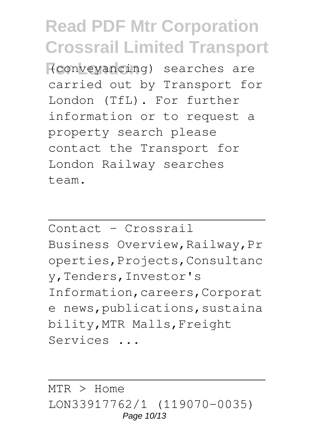**For London** (conveyancing) searches are carried out by Transport for London (TfL). For further information or to request a property search please contact the Transport for London Railway searches team.

Contact - Crossrail

Business Overview,Railway,Pr operties,Projects,Consultanc y,Tenders,Investor's Information,careers,Corporat e news, publications, sustaina bility,MTR Malls,Freight Services ...

MTR > Home LON33917762/1 (119070-0035) Page 10/13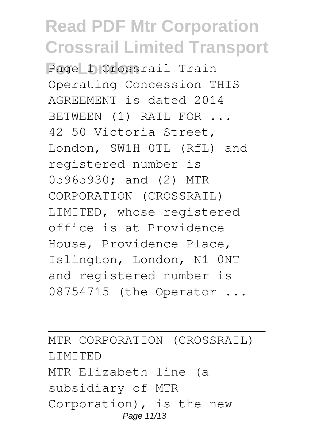Page **D**Crossrail Train Operating Concession THIS AGREEMENT is dated 2014 BETWEEN (1) RAIL FOR ... 42-50 Victoria Street, London, SW1H 0TL (RfL) and registered number is 05965930; and (2) MTR CORPORATION (CROSSRAIL) LIMITED, whose registered office is at Providence House, Providence Place, Islington, London, N1 0NT and registered number is 08754715 (the Operator ...

MTR CORPORATION (CROSSRAIL) LIMITED MTR Elizabeth line (a subsidiary of MTR Corporation), is the new Page 11/13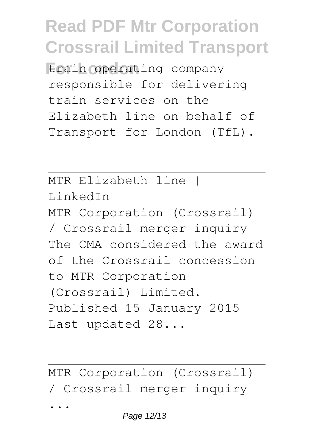**Erain operating company** responsible for delivering train services on the Elizabeth line on behalf of Transport for London (TfL).

MTR Elizabeth line | LinkedIn MTR Corporation (Crossrail) / Crossrail merger inquiry The CMA considered the award of the Crossrail concession to MTR Corporation (Crossrail) Limited. Published 15 January 2015 Last updated 28...

MTR Corporation (Crossrail) / Crossrail merger inquiry ...